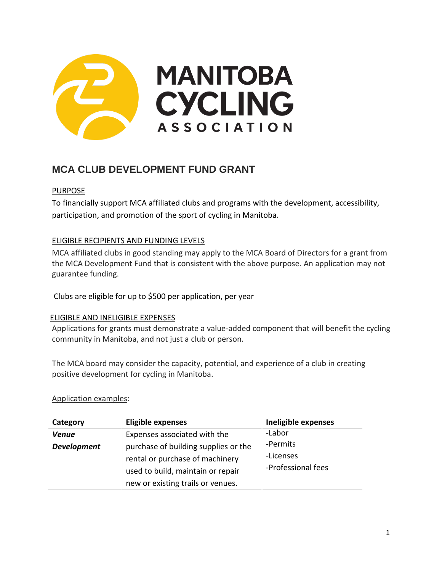

# **MCA CLUB DEVELOPMENT FUND GRANT**

# PURPOSE

To financially support MCA affiliated clubs and programs with the development, accessibility, participation, and promotion of the sport of cycling in Manitoba.

# ELIGIBLE RECIPIENTS AND FUNDING LEVELS

MCA affiliated clubs in good standing may apply to the MCA Board of Directors for a grant from the MCA Development Fund that is consistent with the above purpose. An application may not guarantee funding.

Clubs are eligible for up to \$500 per application, per year

## ELIGIBLE AND INELIGIBLE EXPENSES

Applications for grants must demonstrate a value-added component that will benefit the cycling community in Manitoba, and not just a club or person.

The MCA board may consider the capacity, potential, and experience of a club in creating positive development for cycling in Manitoba.

### Application examples:

| Category           | <b>Eligible expenses</b>             | Ineligible expenses |
|--------------------|--------------------------------------|---------------------|
| <b>Venue</b>       | Expenses associated with the         | -Labor              |
| <b>Development</b> | purchase of building supplies or the | -Permits            |
|                    | rental or purchase of machinery      | -Licenses           |
|                    | used to build, maintain or repair    | -Professional fees  |
|                    | new or existing trails or venues.    |                     |